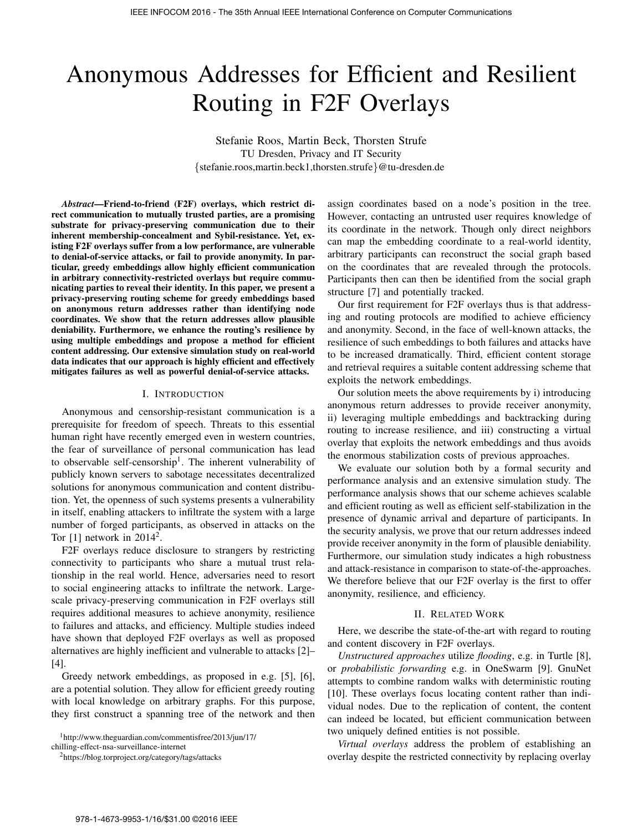# Anonymous Addresses for Efficient and Resilient Routing in F2F Overlays

Stefanie Roos, Martin Beck, Thorsten Strufe TU Dresden, Privacy and IT Security {stefanie.roos,martin.beck1,thorsten.strufe}@tu-dresden.de

*Abstract*—Friend-to-friend (F2F) overlays, which restrict direct communication to mutually trusted parties, are a promising substrate for privacy-preserving communication due to their inherent membership-concealment and Sybil-resistance. Yet, existing F2F overlays suffer from a low performance, are vulnerable to denial-of-service attacks, or fail to provide anonymity. In particular, greedy embeddings allow highly efficient communication in arbitrary connectivity-restricted overlays but require communicating parties to reveal their identity. In this paper, we present a privacy-preserving routing scheme for greedy embeddings based on anonymous return addresses rather than identifying node coordinates. We show that the return addresses allow plausible deniability. Furthermore, we enhance the routing's resilience by using multiple embeddings and propose a method for efficient content addressing. Our extensive simulation study on real-world data indicates that our approach is highly efficient and effectively mitigates failures as well as powerful denial-of-service attacks.

## I. INTRODUCTION

Anonymous and censorship-resistant communication is a prerequisite for freedom of speech. Threats to this essential human right have recently emerged even in western countries, the fear of surveillance of personal communication has lead to observable self-censorship<sup>1</sup>. The inherent vulnerability of publicly known servers to sabotage necessitates decentralized solutions for anonymous communication and content distribution. Yet, the openness of such systems presents a vulnerability in itself, enabling attackers to infiltrate the system with a large number of forged participants, as observed in attacks on the Tor  $[1]$  network in  $2014^2$ .

F2F overlays reduce disclosure to strangers by restricting connectivity to participants who share a mutual trust relationship in the real world. Hence, adversaries need to resort to social engineering attacks to infiltrate the network. Largescale privacy-preserving communication in F2F overlays still requires additional measures to achieve anonymity, resilience to failures and attacks, and efficiency. Multiple studies indeed have shown that deployed F2F overlays as well as proposed alternatives are highly inefficient and vulnerable to attacks [2]– [4].

Greedy network embeddings, as proposed in e.g. [5], [6], are a potential solution. They allow for efficient greedy routing with local knowledge on arbitrary graphs. For this purpose, they first construct a spanning tree of the network and then

chilling-effect-nsa-surveillance-internet

assign coordinates based on a node's position in the tree. However, contacting an untrusted user requires knowledge of its coordinate in the network. Though only direct neighbors can map the embedding coordinate to a real-world identity, arbitrary participants can reconstruct the social graph based on the coordinates that are revealed through the protocols. Participants then can then be identified from the social graph structure [7] and potentially tracked.

Our first requirement for F2F overlays thus is that addressing and routing protocols are modified to achieve efficiency and anonymity. Second, in the face of well-known attacks, the resilience of such embeddings to both failures and attacks have to be increased dramatically. Third, efficient content storage and retrieval requires a suitable content addressing scheme that exploits the network embeddings.

Our solution meets the above requirements by i) introducing anonymous return addresses to provide receiver anonymity, ii) leveraging multiple embeddings and backtracking during routing to increase resilience, and iii) constructing a virtual overlay that exploits the network embeddings and thus avoids the enormous stabilization costs of previous approaches.

We evaluate our solution both by a formal security and performance analysis and an extensive simulation study. The performance analysis shows that our scheme achieves scalable and efficient routing as well as efficient self-stabilization in the presence of dynamic arrival and departure of participants. In the security analysis, we prove that our return addresses indeed provide receiver anonymity in the form of plausible deniability. Furthermore, our simulation study indicates a high robustness and attack-resistance in comparison to state-of-the-approaches. We therefore believe that our F2F overlay is the first to offer anonymity, resilience, and efficiency.

#### II. RELATED WORK

Here, we describe the state-of-the-art with regard to routing and content discovery in F2F overlays.

*Unstructured approaches* utilize *flooding*, e.g. in Turtle [8], or *probabilistic forwarding* e.g. in OneSwarm [9]. GnuNet attempts to combine random walks with deterministic routing [10]. These overlays focus locating content rather than individual nodes. Due to the replication of content, the content can indeed be located, but efficient communication between two uniquely defined entities is not possible.

*Virtual overlays* address the problem of establishing an overlay despite the restricted connectivity by replacing overlay

<sup>1</sup>http://www.theguardian.com/commentisfree/2013/jun/17/

<sup>2</sup>https://blog.torproject.org/category/tags/attacks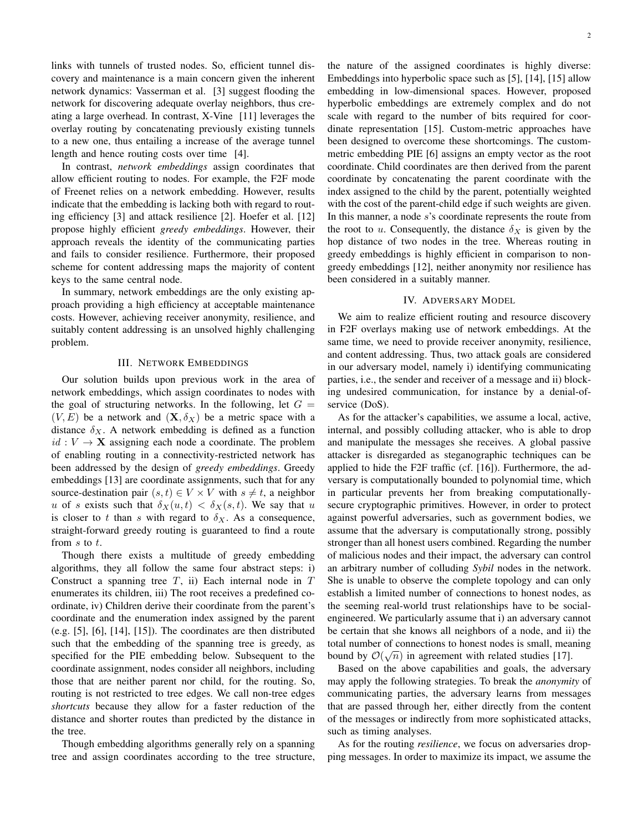links with tunnels of trusted nodes. So, efficient tunnel discovery and maintenance is a main concern given the inherent network dynamics: Vasserman et al. [3] suggest flooding the network for discovering adequate overlay neighbors, thus creating a large overhead. In contrast, X-Vine [11] leverages the overlay routing by concatenating previously existing tunnels to a new one, thus entailing a increase of the average tunnel length and hence routing costs over time [4].

In contrast, *network embeddings* assign coordinates that allow efficient routing to nodes. For example, the F2F mode of Freenet relies on a network embedding. However, results indicate that the embedding is lacking both with regard to routing efficiency [3] and attack resilience [2]. Hoefer et al. [12] propose highly efficient *greedy embeddings*. However, their approach reveals the identity of the communicating parties and fails to consider resilience. Furthermore, their proposed scheme for content addressing maps the majority of content keys to the same central node.

In summary, network embeddings are the only existing approach providing a high efficiency at acceptable maintenance costs. However, achieving receiver anonymity, resilience, and suitably content addressing is an unsolved highly challenging problem.

## III. NETWORK EMBEDDINGS

Our solution builds upon previous work in the area of network embeddings, which assign coordinates to nodes with the goal of structuring networks. In the following, let  $G =$  $(V, E)$  be a network and  $(X, \delta_X)$  be a metric space with a distance  $\delta_X$ . A network embedding is defined as a function  $id: V \to X$  assigning each node a coordinate. The problem of enabling routing in a connectivity-restricted network has been addressed by the design of *greedy embeddings*. Greedy embeddings [13] are coordinate assignments, such that for any source-destination pair  $(s, t) \in V \times V$  with  $s \neq t$ , a neighbor u of s exists such that  $\delta_X(u, t) < \delta_X(s, t)$ . We say that u is closer to t than s with regard to  $\delta_X$ . As a consequence, straight-forward greedy routing is guaranteed to find a route from  $s$  to  $t$ .

Though there exists a multitude of greedy embedding algorithms, they all follow the same four abstract steps: i) Construct a spanning tree  $T$ , ii) Each internal node in  $T$ enumerates its children, iii) The root receives a predefined coordinate, iv) Children derive their coordinate from the parent's coordinate and the enumeration index assigned by the parent (e.g. [5], [6], [14], [15]). The coordinates are then distributed such that the embedding of the spanning tree is greedy, as specified for the PIE embedding below. Subsequent to the coordinate assignment, nodes consider all neighbors, including those that are neither parent nor child, for the routing. So, routing is not restricted to tree edges. We call non-tree edges *shortcuts* because they allow for a faster reduction of the distance and shorter routes than predicted by the distance in the tree.

Though embedding algorithms generally rely on a spanning tree and assign coordinates according to the tree structure, the nature of the assigned coordinates is highly diverse: Embeddings into hyperbolic space such as [5], [14], [15] allow embedding in low-dimensional spaces. However, proposed hyperbolic embeddings are extremely complex and do not scale with regard to the number of bits required for coordinate representation [15]. Custom-metric approaches have been designed to overcome these shortcomings. The custommetric embedding PIE [6] assigns an empty vector as the root coordinate. Child coordinates are then derived from the parent coordinate by concatenating the parent coordinate with the

index assigned to the child by the parent, potentially weighted with the cost of the parent-child edge if such weights are given. In this manner, a node s's coordinate represents the route from the root to u. Consequently, the distance  $\delta_X$  is given by the hop distance of two nodes in the tree. Whereas routing in greedy embeddings is highly efficient in comparison to nongreedy embeddings [12], neither anonymity nor resilience has been considered in a suitably manner.

# IV. ADVERSARY MODEL

We aim to realize efficient routing and resource discovery in F2F overlays making use of network embeddings. At the same time, we need to provide receiver anonymity, resilience, and content addressing. Thus, two attack goals are considered in our adversary model, namely i) identifying communicating parties, i.e., the sender and receiver of a message and ii) blocking undesired communication, for instance by a denial-ofservice (DoS).

As for the attacker's capabilities, we assume a local, active, internal, and possibly colluding attacker, who is able to drop and manipulate the messages she receives. A global passive attacker is disregarded as steganographic techniques can be applied to hide the F2F traffic (cf. [16]). Furthermore, the adversary is computationally bounded to polynomial time, which in particular prevents her from breaking computationallysecure cryptographic primitives. However, in order to protect against powerful adversaries, such as government bodies, we assume that the adversary is computationally strong, possibly stronger than all honest users combined. Regarding the number of malicious nodes and their impact, the adversary can control an arbitrary number of colluding *Sybil* nodes in the network. She is unable to observe the complete topology and can only establish a limited number of connections to honest nodes, as the seeming real-world trust relationships have to be socialengineered. We particularly assume that i) an adversary cannot be certain that she knows all neighbors of a node, and ii) the total number of connections to honest nodes is small, meaning bound by  $\mathcal{O}(\sqrt{n})$  in agreement with related studies [17].

Based on the above capabilities and goals, the adversary may apply the following strategies. To break the *anonymity* of communicating parties, the adversary learns from messages that are passed through her, either directly from the content of the messages or indirectly from more sophisticated attacks, such as timing analyses.

As for the routing *resilience*, we focus on adversaries dropping messages. In order to maximize its impact, we assume the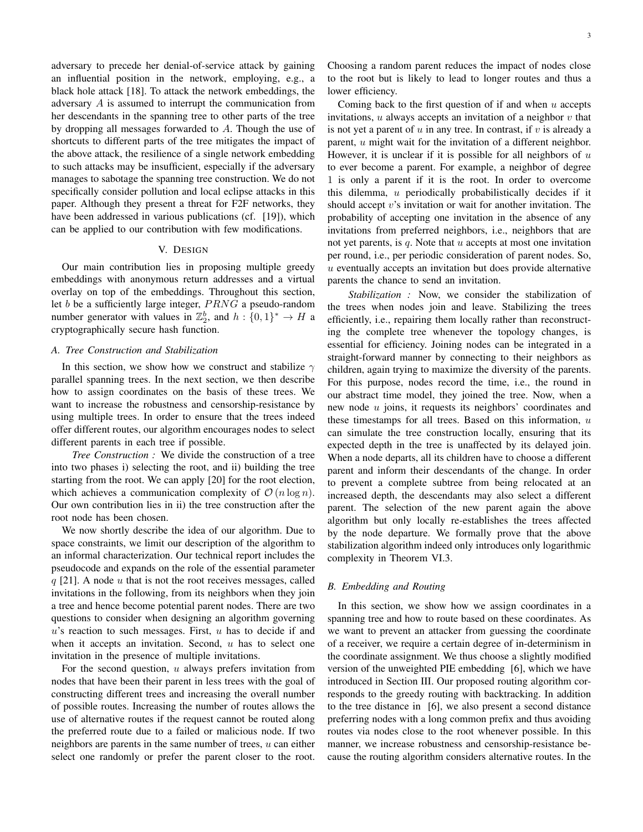adversary to precede her denial-of-service attack by gaining an influential position in the network, employing, e.g., a black hole attack [18]. To attack the network embeddings, the adversary A is assumed to interrupt the communication from her descendants in the spanning tree to other parts of the tree by dropping all messages forwarded to A. Though the use of shortcuts to different parts of the tree mitigates the impact of the above attack, the resilience of a single network embedding to such attacks may be insufficient, especially if the adversary manages to sabotage the spanning tree construction. We do not specifically consider pollution and local eclipse attacks in this paper. Although they present a threat for F2F networks, they have been addressed in various publications (cf. [19]), which can be applied to our contribution with few modifications.

## V. DESIGN

Our main contribution lies in proposing multiple greedy embeddings with anonymous return addresses and a virtual overlay on top of the embeddings. Throughout this section, let  $b$  be a sufficiently large integer,  $PRNG$  a pseudo-random number generator with values in  $\mathbb{Z}_2^b$ , and  $h: \{0,1\}^* \to H$  a cryptographically secure hash function.

## *A. Tree Construction and Stabilization*

In this section, we show how we construct and stabilize  $\gamma$ parallel spanning trees. In the next section, we then describe how to assign coordinates on the basis of these trees. We want to increase the robustness and censorship-resistance by using multiple trees. In order to ensure that the trees indeed offer different routes, our algorithm encourages nodes to select different parents in each tree if possible.

*Tree Construction :* We divide the construction of a tree into two phases i) selecting the root, and ii) building the tree starting from the root. We can apply [20] for the root election, which achieves a communication complexity of  $\mathcal{O}(n \log n)$ . Our own contribution lies in ii) the tree construction after the root node has been chosen.

We now shortly describe the idea of our algorithm. Due to space constraints, we limit our description of the algorithm to an informal characterization. Our technical report includes the pseudocode and expands on the role of the essential parameter  $q$  [21]. A node  $u$  that is not the root receives messages, called invitations in the following, from its neighbors when they join a tree and hence become potential parent nodes. There are two questions to consider when designing an algorithm governing  $u$ 's reaction to such messages. First,  $u$  has to decide if and when it accepts an invitation. Second,  $u$  has to select one invitation in the presence of multiple invitations.

For the second question,  $u$  always prefers invitation from nodes that have been their parent in less trees with the goal of constructing different trees and increasing the overall number of possible routes. Increasing the number of routes allows the use of alternative routes if the request cannot be routed along the preferred route due to a failed or malicious node. If two neighbors are parents in the same number of trees,  $u$  can either select one randomly or prefer the parent closer to the root. Choosing a random parent reduces the impact of nodes close to the root but is likely to lead to longer routes and thus a lower efficiency.

Coming back to the first question of if and when  $u$  accepts invitations,  $u$  always accepts an invitation of a neighbor  $v$  that is not yet a parent of  $u$  in any tree. In contrast, if  $v$  is already a parent, u might wait for the invitation of a different neighbor. However, it is unclear if it is possible for all neighbors of  $u$ to ever become a parent. For example, a neighbor of degree 1 is only a parent if it is the root. In order to overcome this dilemma, u periodically probabilistically decides if it should accept  $v$ 's invitation or wait for another invitation. The probability of accepting one invitation in the absence of any invitations from preferred neighbors, i.e., neighbors that are not yet parents, is  $q$ . Note that  $u$  accepts at most one invitation per round, i.e., per periodic consideration of parent nodes. So,  $u$  eventually accepts an invitation but does provide alternative parents the chance to send an invitation.

*Stabilization :* Now, we consider the stabilization of the trees when nodes join and leave. Stabilizing the trees efficiently, i.e., repairing them locally rather than reconstructing the complete tree whenever the topology changes, is essential for efficiency. Joining nodes can be integrated in a straight-forward manner by connecting to their neighbors as children, again trying to maximize the diversity of the parents. For this purpose, nodes record the time, i.e., the round in our abstract time model, they joined the tree. Now, when a new node u joins, it requests its neighbors' coordinates and these timestamps for all trees. Based on this information,  $u$ can simulate the tree construction locally, ensuring that its expected depth in the tree is unaffected by its delayed join. When a node departs, all its children have to choose a different parent and inform their descendants of the change. In order to prevent a complete subtree from being relocated at an increased depth, the descendants may also select a different parent. The selection of the new parent again the above algorithm but only locally re-establishes the trees affected by the node departure. We formally prove that the above stabilization algorithm indeed only introduces only logarithmic complexity in Theorem VI.3.

#### *B. Embedding and Routing*

In this section, we show how we assign coordinates in a spanning tree and how to route based on these coordinates. As we want to prevent an attacker from guessing the coordinate of a receiver, we require a certain degree of in-determinism in the coordinate assignment. We thus choose a slightly modified version of the unweighted PIE embedding [6], which we have introduced in Section III. Our proposed routing algorithm corresponds to the greedy routing with backtracking. In addition to the tree distance in [6], we also present a second distance preferring nodes with a long common prefix and thus avoiding routes via nodes close to the root whenever possible. In this manner, we increase robustness and censorship-resistance because the routing algorithm considers alternative routes. In the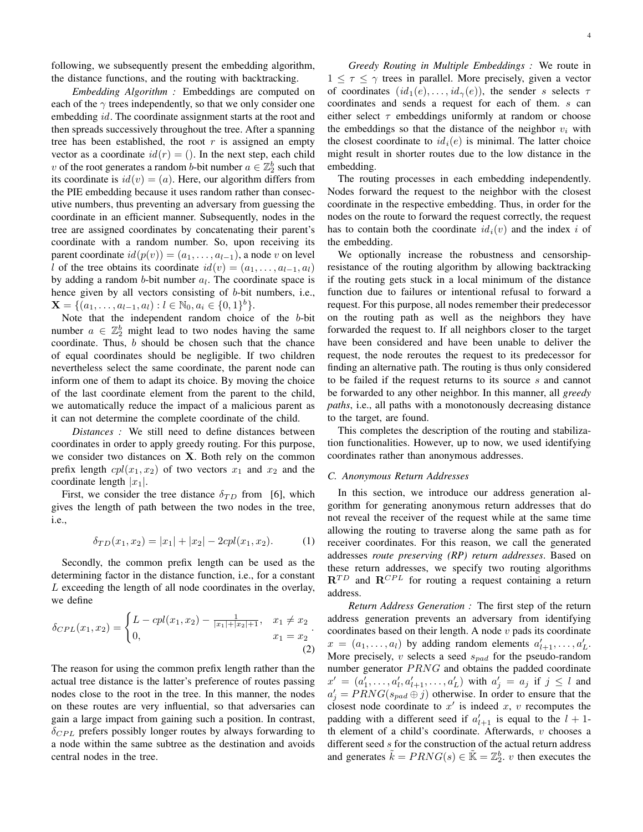following, we subsequently present the embedding algorithm, the distance functions, and the routing with backtracking.

*Embedding Algorithm :* Embeddings are computed on each of the  $\gamma$  trees independently, so that we only consider one embedding *id*. The coordinate assignment starts at the root and then spreads successively throughout the tree. After a spanning tree has been established, the root  $r$  is assigned an empty vector as a coordinate  $id(r) = ($ ). In the next step, each child v of the root generates a random *b*-bit number  $a \in \mathbb{Z}_2^b$  such that its coordinate is  $id(v) = (a)$ . Here, our algorithm differs from the PIE embedding because it uses random rather than consecutive numbers, thus preventing an adversary from guessing the coordinate in an efficient manner. Subsequently, nodes in the tree are assigned coordinates by concatenating their parent's coordinate with a random number. So, upon receiving its parent coordinate  $id(p(v)) = (a_1, \ldots, a_{l-1})$ , a node v on level l of the tree obtains its coordinate  $id(v) = (a_1, \ldots, a_{l-1}, a_l)$ by adding a random  $b$ -bit number  $a_l$ . The coordinate space is hence given by all vectors consisting of *b*-bit numbers, i.e.,  $\mathbf{X} = \{ (a_1, \ldots, a_{l-1}, a_l) : l \in \mathbb{N}_0, a_i \in \{0, 1\}^b \}.$ 

Note that the independent random choice of the b-bit number  $a \in \mathbb{Z}_2^b$  might lead to two nodes having the same coordinate. Thus, b should be chosen such that the chance of equal coordinates should be negligible. If two children nevertheless select the same coordinate, the parent node can inform one of them to adapt its choice. By moving the choice of the last coordinate element from the parent to the child, we automatically reduce the impact of a malicious parent as it can not determine the complete coordinate of the child.

*Distances :* We still need to define distances between coordinates in order to apply greedy routing. For this purpose, we consider two distances on X. Both rely on the common prefix length  $cpl(x_1, x_2)$  of two vectors  $x_1$  and  $x_2$  and the coordinate length  $|x_1|$ .

First, we consider the tree distance  $\delta_{TD}$  from [6], which gives the length of path between the two nodes in the tree, i.e.,

$$
\delta_{TD}(x_1, x_2) = |x_1| + |x_2| - 2cpl(x_1, x_2). \tag{1}
$$

Secondly, the common prefix length can be used as the determining factor in the distance function, i.e., for a constant L exceeding the length of all node coordinates in the overlay, we define

$$
\delta_{CPL}(x_1, x_2) = \begin{cases} L - cpl(x_1, x_2) - \frac{1}{|x_1| + |x_2| + 1}, & x_1 \neq x_2 \\ 0, & x_1 = x_2 \end{cases}.
$$
\n(2)

The reason for using the common prefix length rather than the actual tree distance is the latter's preference of routes passing nodes close to the root in the tree. In this manner, the nodes on these routes are very influential, so that adversaries can gain a large impact from gaining such a position. In contrast,  $\delta_{CPL}$  prefers possibly longer routes by always forwarding to a node within the same subtree as the destination and avoids central nodes in the tree.

*Greedy Routing in Multiple Embeddings :* We route in  $1 \leq \tau \leq \gamma$  trees in parallel. More precisely, given a vector of coordinates  $(id_1(e), \ldots, id_{\gamma}(e))$ , the sender s selects  $\tau$ coordinates and sends a request for each of them. s can either select  $\tau$  embeddings uniformly at random or choose the embeddings so that the distance of the neighbor  $v_i$  with the closest coordinate to  $id_i(e)$  is minimal. The latter choice might result in shorter routes due to the low distance in the embedding.

The routing processes in each embedding independently. Nodes forward the request to the neighbor with the closest coordinate in the respective embedding. Thus, in order for the nodes on the route to forward the request correctly, the request has to contain both the coordinate  $id_i(v)$  and the index i of the embedding.

We optionally increase the robustness and censorshipresistance of the routing algorithm by allowing backtracking if the routing gets stuck in a local minimum of the distance function due to failures or intentional refusal to forward a request. For this purpose, all nodes remember their predecessor on the routing path as well as the neighbors they have forwarded the request to. If all neighbors closer to the target have been considered and have been unable to deliver the request, the node reroutes the request to its predecessor for finding an alternative path. The routing is thus only considered to be failed if the request returns to its source s and cannot be forwarded to any other neighbor. In this manner, all *greedy paths*, i.e., all paths with a monotonously decreasing distance to the target, are found.

This completes the description of the routing and stabilization functionalities. However, up to now, we used identifying coordinates rather than anonymous addresses.

#### *C. Anonymous Return Addresses*

In this section, we introduce our address generation algorithm for generating anonymous return addresses that do not reveal the receiver of the request while at the same time allowing the routing to traverse along the same path as for receiver coordinates. For this reason, we call the generated addresses *route preserving (RP) return addresses*. Based on these return addresses, we specify two routing algorithms  ${\bf R}^{TD}$  and  ${\bf R}^{CPL}$  for routing a request containing a return address.

*Return Address Generation :* The first step of the return address generation prevents an adversary from identifying coordinates based on their length. A node  $v$  pads its coordinate  $x = (a_1, \dots, a_l)$  by adding random elements  $a'_{l+1}, \dots, a'_{L}$ . More precisely,  $v$  selects a seed  $s_{pad}$  for the pseudo-random number generator  $PRNG$  and obtains the padded coordinate  $x' = (a'_1, \ldots, a'_l, a'_{l+1}, \ldots, a'_L)$  with  $a'_j = a_j$  if  $j \leq l$  and  $a'_{j} = PRNG(s_{pad} \oplus j)$  otherwise. In order to ensure that the closest node coordinate to  $x'$  is indeed  $x, v$  recomputes the padding with a different seed if  $a'_{l+1}$  is equal to the  $l + 1$ th element of a child's coordinate. Afterwards,  $v$  chooses a different seed s for the construction of the actual return address and generates  $\tilde{k} = PRNG(s) \in \tilde{\mathbb{K}} = \mathbb{Z}_2^b$ . v then executes the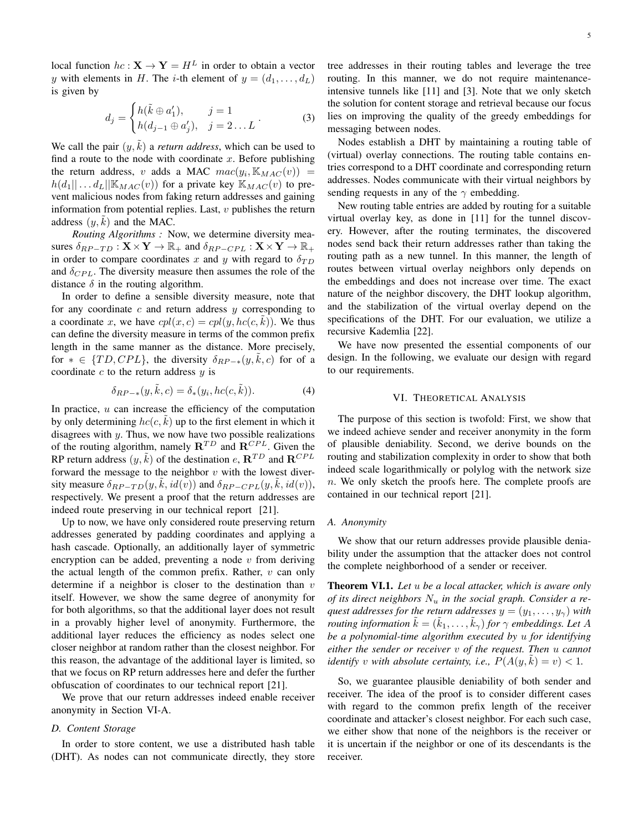local function  $hc : \mathbf{X} \to \mathbf{Y} = H^L$  in order to obtain a vector y with elements in H. The *i*-th element of  $y = (d_1, \ldots, d_L)$ is given by

$$
d_j = \begin{cases} h(\tilde{k} \oplus a'_1), & j = 1 \\ h(d_{j-1} \oplus a'_j), & j = 2 \dots L \end{cases}
$$
 (3)

We call the pair  $(y, \tilde{k})$  a *return address*, which can be used to find a route to the node with coordinate  $x$ . Before publishing the return address, v adds a MAC  $mac(y_i, \mathbb{K}_{MAC}(v)) =$  $h(d_1|| \ldots d_L|| \mathbb{K}_{MAC}(v))$  for a private key  $\mathbb{K}_{MAC}(v)$  to prevent malicious nodes from faking return addresses and gaining information from potential replies. Last,  $v$  publishes the return address  $(u, k)$  and the MAC.

*Routing Algorithms :* Now, we determine diversity measures  $\delta_{RP-TD} : \mathbf{X} \times \mathbf{Y} \to \mathbb{R}_+$  and  $\delta_{RP-CPL} : \mathbf{X} \times \mathbf{Y} \to \mathbb{R}_+$ in order to compare coordinates x and y with regard to  $\delta_{TD}$ and  $\delta_{CPL}$ . The diversity measure then assumes the role of the distance  $\delta$  in the routing algorithm.

In order to define a sensible diversity measure, note that for any coordinate  $c$  and return address  $y$  corresponding to a coordinate x, we have  $cpl(x, c) = cpl(y, hc(c, k))$ . We thus can define the diversity measure in terms of the common prefix length in the same manner as the distance. More precisely, for  $* \in \{TD, CPL\}$ , the diversity  $\delta_{RP-*}(y, k, c)$  for of a coordinate  $c$  to the return address  $y$  is

$$
\delta_{RP-*}(y, \tilde{k}, c) = \delta_*(y_i, hc(c, \tilde{k})).
$$
\n(4)

In practice,  $u$  can increase the efficiency of the computation by only determining  $hc(c, k)$  up to the first element in which it disagrees with  $y$ . Thus, we now have two possible realizations of the routing algorithm, namely  $\mathbf{R}^{TD}$  and  $\mathbf{R}^{CPL}$ . Given the RP return address  $(y, \tilde{k})$  of the destination e,  $\mathbf{R}^{TD}$  and  $\mathbf{R}^{CPL}$ forward the message to the neighbor  $v$  with the lowest diversity measure  $\delta_{RP-TD}(y, k, id(v))$  and  $\delta_{RP-CPL}(y, k, id(v)),$ respectively. We present a proof that the return addresses are indeed route preserving in our technical report [21].

Up to now, we have only considered route preserving return addresses generated by padding coordinates and applying a hash cascade. Optionally, an additionally layer of symmetric encryption can be added, preventing a node  $v$  from deriving the actual length of the common prefix. Rather,  $v$  can only determine if a neighbor is closer to the destination than  $v$ itself. However, we show the same degree of anonymity for for both algorithms, so that the additional layer does not result in a provably higher level of anonymity. Furthermore, the additional layer reduces the efficiency as nodes select one closer neighbor at random rather than the closest neighbor. For this reason, the advantage of the additional layer is limited, so that we focus on RP return addresses here and defer the further obfuscation of coordinates to our technical report [21].

We prove that our return addresses indeed enable receiver anonymity in Section VI-A.

## *D. Content Storage*

In order to store content, we use a distributed hash table (DHT). As nodes can not communicate directly, they store tree addresses in their routing tables and leverage the tree routing. In this manner, we do not require maintenanceintensive tunnels like [11] and [3]. Note that we only sketch the solution for content storage and retrieval because our focus lies on improving the quality of the greedy embeddings for messaging between nodes.

Nodes establish a DHT by maintaining a routing table of (virtual) overlay connections. The routing table contains entries correspond to a DHT coordinate and corresponding return addresses. Nodes communicate with their virtual neighbors by sending requests in any of the  $\gamma$  embedding.

New routing table entries are added by routing for a suitable virtual overlay key, as done in [11] for the tunnel discovery. However, after the routing terminates, the discovered nodes send back their return addresses rather than taking the routing path as a new tunnel. In this manner, the length of routes between virtual overlay neighbors only depends on the embeddings and does not increase over time. The exact nature of the neighbor discovery, the DHT lookup algorithm, and the stabilization of the virtual overlay depend on the specifications of the DHT. For our evaluation, we utilize a recursive Kademlia [22].

We have now presented the essential components of our design. In the following, we evaluate our design with regard to our requirements.

## VI. THEORETICAL ANALYSIS

The purpose of this section is twofold: First, we show that we indeed achieve sender and receiver anonymity in the form of plausible deniability. Second, we derive bounds on the routing and stabilization complexity in order to show that both indeed scale logarithmically or polylog with the network size  $n$ . We only sketch the proofs here. The complete proofs are contained in our technical report [21].

#### *A. Anonymity*

We show that our return addresses provide plausible deniability under the assumption that the attacker does not control the complete neighborhood of a sender or receiver.

Theorem VI.1. *Let* u *be a local attacker, which is aware only of its direct neighbors*  $N_u$  *in the social graph. Consider a request addresses for the return addresses*  $y = (y_1, \ldots, y_\gamma)$  *with routing information*  $\tilde{k} = (\tilde{k}_1, \dots, \tilde{k}_\gamma)$  *for*  $\gamma$  *embeddings. Let* A *be a polynomial-time algorithm executed by* u *for identifying either the sender or receiver* v *of the request. Then* u *cannot identify* v with absolute certainty, i.e.,  $P(A(y, k) = v) < 1$ .

So, we guarantee plausible deniability of both sender and receiver. The idea of the proof is to consider different cases with regard to the common prefix length of the receiver coordinate and attacker's closest neighbor. For each such case, we either show that none of the neighbors is the receiver or it is uncertain if the neighbor or one of its descendants is the receiver.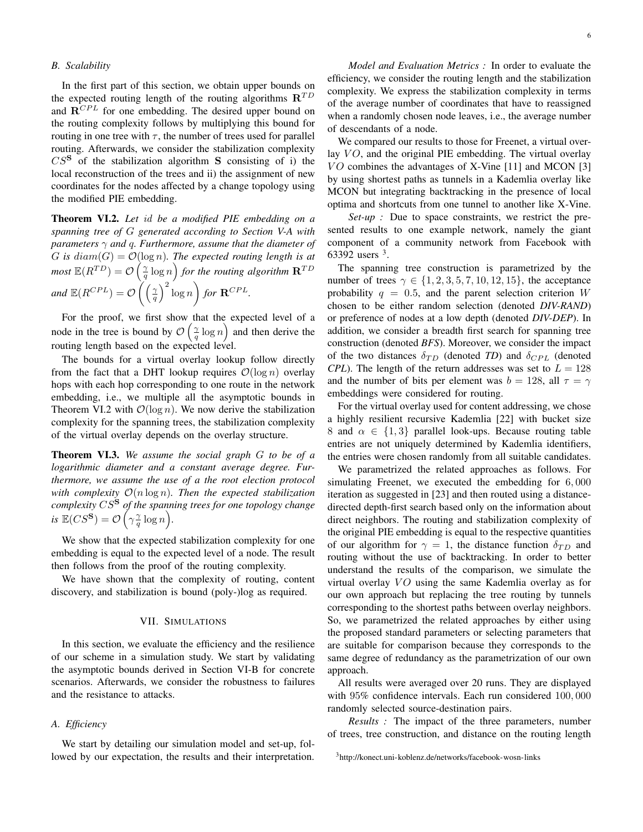## *B. Scalability*

In the first part of this section, we obtain upper bounds on the expected routing length of the routing algorithms  $\mathbf{R}^{TD}$ and  $\mathbf{R}^{CPL}$  for one embedding. The desired upper bound on the routing complexity follows by multiplying this bound for routing in one tree with  $\tau$ , the number of trees used for parallel routing. Afterwards, we consider the stabilization complexity  $CS^{\mathbf{S}}$  of the stabilization algorithm **S** consisting of i) the local reconstruction of the trees and ii) the assignment of new coordinates for the nodes affected by a change topology using the modified PIE embedding.

Theorem VI.2. *Let* id *be a modified PIE embedding on a spanning tree of* G *generated according to Section V-A with parameters* γ *and* q*. Furthermore, assume that the diameter of* G is  $diam(G) = \mathcal{O}(\log n)$ . The expected routing length is at *most*  $\mathbb{E}(R^{TD}) = \mathcal{O}\left(\frac{\gamma}{q} \log n\right)$  *for the routing algorithm*  $\mathbf{R}^{TD}$  $and \ \mathbb{E}(R^{CPL}) = \mathcal{O}\left(\left(\frac{\gamma}{q}\right)^2 \log n\right)$  for  $\mathbf{R}^{CPL}$ .

For the proof, we first show that the expected level of a node in the tree is bound by  $\mathcal{O}\left(\frac{\gamma}{q} \log n\right)$  and then derive the routing length based on the expected level.

The bounds for a virtual overlay lookup follow directly from the fact that a DHT lookup requires  $\mathcal{O}(\log n)$  overlay hops with each hop corresponding to one route in the network embedding, i.e., we multiple all the asymptotic bounds in Theorem VI.2 with  $\mathcal{O}(\log n)$ . We now derive the stabilization complexity for the spanning trees, the stabilization complexity of the virtual overlay depends on the overlay structure.

Theorem VI.3. *We assume the social graph* G *to be of a logarithmic diameter and a constant average degree. Furthermore, we assume the use of a the root election protocol with complexity* O(n log n)*. Then the expected stabilization complexity* CS<sup>S</sup> *of the spanning trees for one topology change is*  $\mathbb{E}(CS^{\mathbf{S}}) = \mathcal{O}\left(\gamma \frac{\gamma}{q} \log n\right)$ .

We show that the expected stabilization complexity for one embedding is equal to the expected level of a node. The result then follows from the proof of the routing complexity.

We have shown that the complexity of routing, content discovery, and stabilization is bound (poly-)log as required.

## VII. SIMULATIONS

In this section, we evaluate the efficiency and the resilience of our scheme in a simulation study. We start by validating the asymptotic bounds derived in Section VI-B for concrete scenarios. Afterwards, we consider the robustness to failures and the resistance to attacks.

#### *A. Efficiency*

We start by detailing our simulation model and set-up, followed by our expectation, the results and their interpretation.

6

*Model and Evaluation Metrics :* In order to evaluate the efficiency, we consider the routing length and the stabilization complexity. We express the stabilization complexity in terms of the average number of coordinates that have to reassigned when a randomly chosen node leaves, i.e., the average number of descendants of a node.

We compared our results to those for Freenet, a virtual overlay  $VO$ , and the original PIE embedding. The virtual overlay  $VO$  combines the advantages of X-Vine [11] and MCON [3] by using shortest paths as tunnels in a Kademlia overlay like MCON but integrating backtracking in the presence of local optima and shortcuts from one tunnel to another like X-Vine.

*Set-up :* Due to space constraints, we restrict the presented results to one example network, namely the giant component of a community network from Facebook with 63392 users  $3$ .

The spanning tree construction is parametrized by the number of trees  $\gamma \in \{1, 2, 3, 5, 7, 10, 12, 15\}$ , the acceptance probability  $q = 0.5$ , and the parent selection criterion W chosen to be either random selection (denoted *DIV-RAND*) or preference of nodes at a low depth (denoted *DIV-DEP*). In addition, we consider a breadth first search for spanning tree construction (denoted *BFS*). Moreover, we consider the impact of the two distances  $\delta_{TD}$  (denoted *TD*) and  $\delta_{CPL}$  (denoted *CPL*). The length of the return addresses was set to  $L = 128$ and the number of bits per element was  $b = 128$ , all  $\tau = \gamma$ embeddings were considered for routing.

For the virtual overlay used for content addressing, we chose a highly resilient recursive Kademlia [22] with bucket size 8 and  $\alpha \in \{1,3\}$  parallel look-ups. Because routing table entries are not uniquely determined by Kademlia identifiers, the entries were chosen randomly from all suitable candidates.

We parametrized the related approaches as follows. For simulating Freenet, we executed the embedding for 6, 000 iteration as suggested in [23] and then routed using a distancedirected depth-first search based only on the information about direct neighbors. The routing and stabilization complexity of the original PIE embedding is equal to the respective quantities of our algorithm for  $\gamma = 1$ , the distance function  $\delta_{TD}$  and routing without the use of backtracking. In order to better understand the results of the comparison, we simulate the virtual overlay  $VO$  using the same Kademlia overlay as for our own approach but replacing the tree routing by tunnels corresponding to the shortest paths between overlay neighbors. So, we parametrized the related approaches by either using the proposed standard parameters or selecting parameters that are suitable for comparison because they corresponds to the same degree of redundancy as the parametrization of our own approach.

All results were averaged over 20 runs. They are displayed with 95% confidence intervals. Each run considered 100, 000 randomly selected source-destination pairs.

*Results :* The impact of the three parameters, number of trees, tree construction, and distance on the routing length

<sup>3</sup>http://konect.uni-koblenz.de/networks/facebook-wosn-links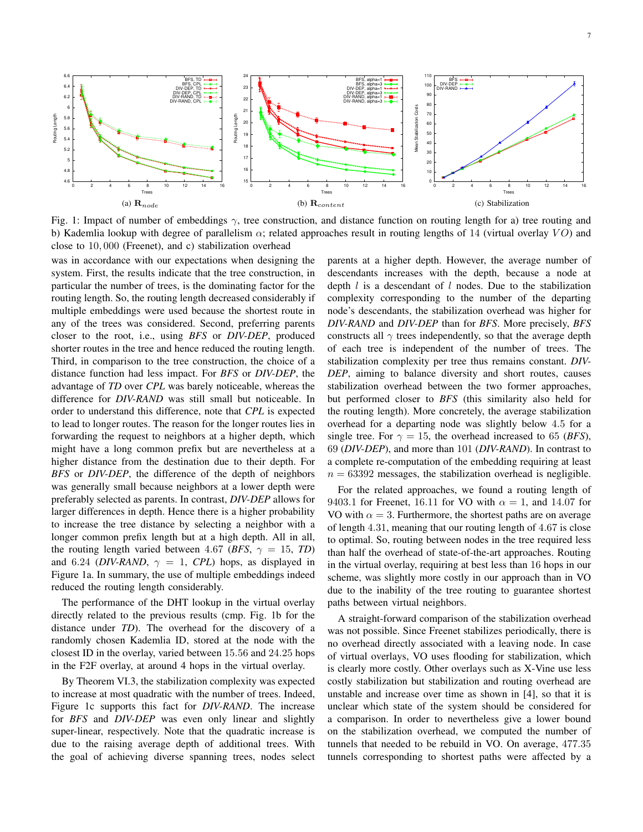

Fig. 1: Impact of number of embeddings  $\gamma$ , tree construction, and distance function on routing length for a) tree routing and b) Kademlia lookup with degree of parallelism  $\alpha$ ; related approaches result in routing lengths of 14 (virtual overlay VO) and close to 10, 000 (Freenet), and c) stabilization overhead

was in accordance with our expectations when designing the system. First, the results indicate that the tree construction, in particular the number of trees, is the dominating factor for the routing length. So, the routing length decreased considerably if multiple embeddings were used because the shortest route in any of the trees was considered. Second, preferring parents closer to the root, i.e., using *BFS* or *DIV-DEP*, produced shorter routes in the tree and hence reduced the routing length. Third, in comparison to the tree construction, the choice of a distance function had less impact. For *BFS* or *DIV-DEP*, the advantage of *TD* over *CPL* was barely noticeable, whereas the difference for *DIV-RAND* was still small but noticeable. In order to understand this difference, note that *CPL* is expected to lead to longer routes. The reason for the longer routes lies in forwarding the request to neighbors at a higher depth, which might have a long common prefix but are nevertheless at a higher distance from the destination due to their depth. For *BFS* or *DIV-DEP*, the difference of the depth of neighbors was generally small because neighbors at a lower depth were preferably selected as parents. In contrast, *DIV-DEP* allows for larger differences in depth. Hence there is a higher probability to increase the tree distance by selecting a neighbor with a longer common prefix length but at a high depth. All in all, the routing length varied between 4.67 (*BFS*,  $\gamma = 15$ , *TD*) and 6.24 (*DIV-RAND*,  $\gamma = 1$ , *CPL*) hops, as displayed in Figure 1a. In summary, the use of multiple embeddings indeed reduced the routing length considerably.

The performance of the DHT lookup in the virtual overlay directly related to the previous results (cmp. Fig. 1b for the distance under *TD*). The overhead for the discovery of a randomly chosen Kademlia ID, stored at the node with the closest ID in the overlay, varied between 15.56 and 24.25 hops in the F2F overlay, at around 4 hops in the virtual overlay.

By Theorem VI.3, the stabilization complexity was expected to increase at most quadratic with the number of trees. Indeed, Figure 1c supports this fact for *DIV-RAND*. The increase for *BFS* and *DIV-DEP* was even only linear and slightly super-linear, respectively. Note that the quadratic increase is due to the raising average depth of additional trees. With the goal of achieving diverse spanning trees, nodes select parents at a higher depth. However, the average number of descendants increases with the depth, because a node at depth  $l$  is a descendant of  $l$  nodes. Due to the stabilization complexity corresponding to the number of the departing node's descendants, the stabilization overhead was higher for *DIV-RAND* and *DIV-DEP* than for *BFS*. More precisely, *BFS* constructs all  $\gamma$  trees independently, so that the average depth of each tree is independent of the number of trees. The stabilization complexity per tree thus remains constant. *DIV-DEP*, aiming to balance diversity and short routes, causes stabilization overhead between the two former approaches, but performed closer to *BFS* (this similarity also held for the routing length). More concretely, the average stabilization overhead for a departing node was slightly below 4.5 for a single tree. For  $\gamma = 15$ , the overhead increased to 65 (*BFS*), 69 (*DIV-DEP*), and more than 101 (*DIV-RAND*). In contrast to a complete re-computation of the embedding requiring at least  $n = 63392$  messages, the stabilization overhead is negligible.

For the related approaches, we found a routing length of 9403.1 for Freenet, 16.11 for VO with  $\alpha = 1$ , and 14.07 for VO with  $\alpha = 3$ . Furthermore, the shortest paths are on average of length 4.31, meaning that our routing length of 4.67 is close to optimal. So, routing between nodes in the tree required less than half the overhead of state-of-the-art approaches. Routing in the virtual overlay, requiring at best less than 16 hops in our scheme, was slightly more costly in our approach than in VO due to the inability of the tree routing to guarantee shortest paths between virtual neighbors.

A straight-forward comparison of the stabilization overhead was not possible. Since Freenet stabilizes periodically, there is no overhead directly associated with a leaving node. In case of virtual overlays, VO uses flooding for stabilization, which is clearly more costly. Other overlays such as X-Vine use less costly stabilization but stabilization and routing overhead are unstable and increase over time as shown in [4], so that it is unclear which state of the system should be considered for a comparison. In order to nevertheless give a lower bound on the stabilization overhead, we computed the number of tunnels that needed to be rebuild in VO. On average, 477.35 tunnels corresponding to shortest paths were affected by a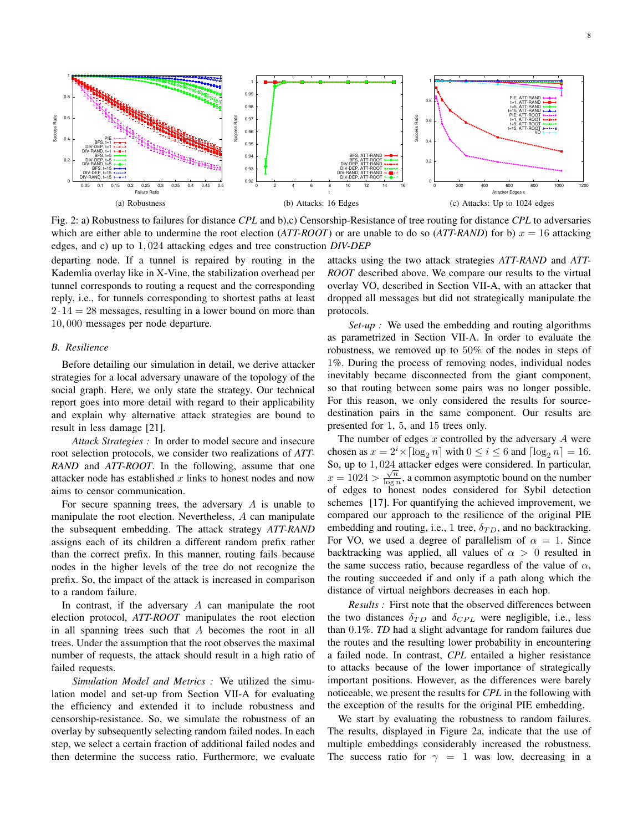

Fig. 2: a) Robustness to failures for distance *CPL* and b),c) Censorship-Resistance of tree routing for distance *CPL* to adversaries which are either able to undermine the root election (*ATT-ROOT*) or are unable to do so (*ATT-RAND*) for b)  $x = 16$  attacking edges, and c) up to 1, 024 attacking edges and tree construction *DIV-DEP*

departing node. If a tunnel is repaired by routing in the Kademlia overlay like in X-Vine, the stabilization overhead per tunnel corresponds to routing a request and the corresponding reply, i.e., for tunnels corresponding to shortest paths at least  $2 \cdot 14 = 28$  messages, resulting in a lower bound on more than 10, 000 messages per node departure.

# *B. Resilience*

Before detailing our simulation in detail, we derive attacker strategies for a local adversary unaware of the topology of the social graph. Here, we only state the strategy. Our technical report goes into more detail with regard to their applicability and explain why alternative attack strategies are bound to result in less damage [21].

*Attack Strategies :* In order to model secure and insecure root selection protocols, we consider two realizations of *ATT-RAND* and *ATT-ROOT*. In the following, assume that one attacker node has established  $x$  links to honest nodes and now aims to censor communication.

For secure spanning trees, the adversary  $A$  is unable to manipulate the root election. Nevertheless, A can manipulate the subsequent embedding. The attack strategy *ATT-RAND* assigns each of its children a different random prefix rather than the correct prefix. In this manner, routing fails because nodes in the higher levels of the tree do not recognize the prefix. So, the impact of the attack is increased in comparison to a random failure.

In contrast, if the adversary  $A$  can manipulate the root election protocol, *ATT-ROOT* manipulates the root election in all spanning trees such that A becomes the root in all trees. Under the assumption that the root observes the maximal number of requests, the attack should result in a high ratio of failed requests.

*Simulation Model and Metrics :* We utilized the simulation model and set-up from Section VII-A for evaluating the efficiency and extended it to include robustness and censorship-resistance. So, we simulate the robustness of an overlay by subsequently selecting random failed nodes. In each step, we select a certain fraction of additional failed nodes and then determine the success ratio. Furthermore, we evaluate

attacks using the two attack strategies *ATT-RAND* and *ATT-ROOT* described above. We compare our results to the virtual overlay VO, described in Section VII-A, with an attacker that dropped all messages but did not strategically manipulate the protocols.

*Set-up* : We used the embedding and routing algorithms as parametrized in Section VII-A. In order to evaluate the robustness, we removed up to 50% of the nodes in steps of 1%. During the process of removing nodes, individual nodes inevitably became disconnected from the giant component, so that routing between some pairs was no longer possible. For this reason, we only considered the results for sourcedestination pairs in the same component. Our results are presented for 1, 5, and 15 trees only.

The number of edges  $x$  controlled by the adversary  $A$  were chosen as  $x = 2^i \times \log_2 n$  with  $0 \le i \le 6$  and  $\log_2 n = 16$ . So, up to  $1,024$  attacker edges were considered. In particular,  $x = 1024 > \frac{\sqrt{n}}{\log x}$  $\frac{\sqrt{n}}{\log n}$ , a common asymptotic bound on the number of edges to honest nodes considered for Sybil detection schemes [17]. For quantifying the achieved improvement, we compared our approach to the resilience of the original PIE embedding and routing, i.e., 1 tree,  $\delta_{TD}$ , and no backtracking. For VO, we used a degree of parallelism of  $\alpha = 1$ . Since backtracking was applied, all values of  $\alpha > 0$  resulted in the same success ratio, because regardless of the value of  $\alpha$ , the routing succeeded if and only if a path along which the distance of virtual neighbors decreases in each hop.

*Results :* First note that the observed differences between the two distances  $\delta_{TD}$  and  $\delta_{CPL}$  were negligible, i.e., less than 0.1%. *TD* had a slight advantage for random failures due the routes and the resulting lower probability in encountering a failed node. In contrast, *CPL* entailed a higher resistance to attacks because of the lower importance of strategically important positions. However, as the differences were barely noticeable, we present the results for *CPL* in the following with the exception of the results for the original PIE embedding.

We start by evaluating the robustness to random failures. The results, displayed in Figure 2a, indicate that the use of multiple embeddings considerably increased the robustness. The success ratio for  $\gamma = 1$  was low, decreasing in a